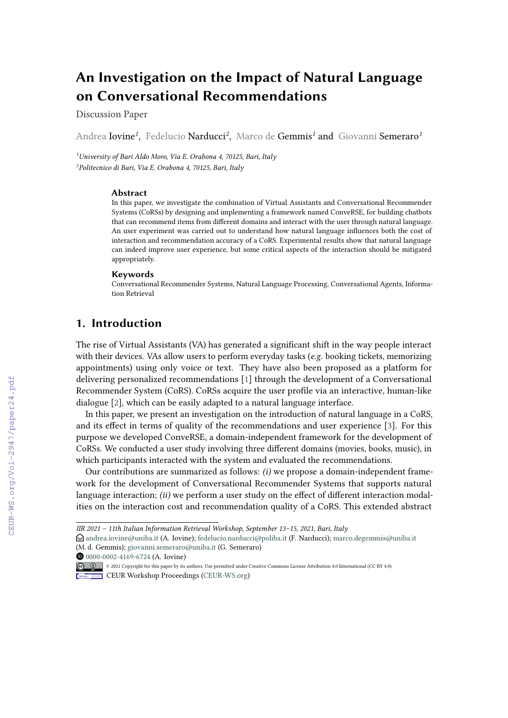# **An Investigation on the Impact of Natural Language on Conversational Recommendations**

Discussion Paper

Andrea Iovine*<sup>1</sup>* , Fedelucio Narducci*<sup>2</sup>* , Marco de Gemmis*<sup>1</sup>* and Giovanni Semeraro*<sup>1</sup>*

*<sup>1</sup>University of Bari Aldo Moro, Via E. Orabona 4, 70125, Bari, Italy 2 Politecnico di Bari, Via E. Orabona 4, 70125, Bari, Italy*

#### **Abstract**

In this paper, we investigate the combination of Virtual Assistants and Conversational Recommender Systems (CoRSs) by designing and implementing a framework named ConveRSE, for building chatbots that can recommend items from different domains and interact with the user through natural language. An user experiment was carried out to understand how natural language influences both the cost of interaction and recommendation accuracy of a CoRS. Experimental results show that natural language can indeed improve user experience, but some critical aspects of the interaction should be mitigated appropriately.

#### **Keywords**

Conversational Recommender Systems, Natural Language Processing, Conversational Agents, Information Retrieval

### **1. Introduction**

The rise of Virtual Assistants (VA) has generated a significant shift in the way people interact with their devices. VAs allow users to perform everyday tasks (*e.g.* booking tickets, memorizing appointments) using only voice or text. They have also been proposed as a platform for delivering personalized recommendations [\[1\]](#page--1-0) through the development of a Conversational Recommender System (CoRS). CoRSs acquire the user profile via an interactive, human-like dialogue [\[2\]](#page--1-1), which can be easily adapted to a natural language interface.

In this paper, we present an investigation on the introduction of natural language in a CoRS, and its effect in terms of quality of the recommendations and user experience [\[3\]](#page--1-2). For this purpose we developed ConveRSE, a domain-independent framework for the development of CoRSs. We conducted a user study involving three different domains (movies, books, music), in which participants interacted with the system and evaluated the recommendations.

Our contributions are summarized as follows: *(i)* we propose a domain-independent framework for the development of Conversational Recommender Systems that supports natural language interaction; *(ii)* we perform a user study on the effect of different interaction modalities on the interaction cost and recommendation quality of a CoRS. This extended abstract

**10** [0000-0002-4169-6724](https://orcid.org/0000-0002-4169-6724) (A. Iovine)

*IIR 2021 – 11th Italian Information Retrieval Workshop, September 13–15, 2021, Bari, Italy*

 $\bigcirc$  [andrea.iovine@uniba.it](mailto:andrea.iovine@uniba.it) (A. Iovine); [fedelucio.narducci@poliba.it](mailto:fedelucio.narducci@poliba.it) (F. Narducci); [marco.degemmis@uniba.it](mailto:marco.degemmis@uniba.it) (M. d. Gemmis); [giovanni.semeraro@uniba.it](mailto:giovanni.semeraro@uniba.it) (G. Semeraro)

<sup>©</sup> 2021 Copyright for this paper by its authors. Use permitted under Creative Commons License Attribution 4.0 International (CC BY 4.0).

**CEUR Workshop [Proceedings](http://ceur-ws.org) [\(CEUR-WS.org\)](http://ceur-ws.org)**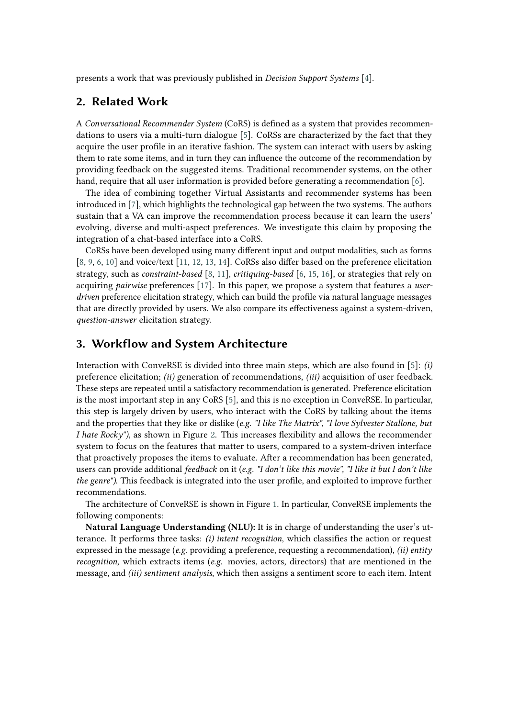presents a work that was previously published in *Decision Support Systems* [\[4\]](#page-4-0).

### **2. Related Work**

A *Conversational Recommender System* (CoRS) is defined as a system that provides recommendations to users via a multi-turn dialogue [\[5\]](#page-4-1). CoRSs are characterized by the fact that they acquire the user profile in an iterative fashion. The system can interact with users by asking them to rate some items, and in turn they can influence the outcome of the recommendation by providing feedback on the suggested items. Traditional recommender systems, on the other hand, require that all user information is provided before generating a recommendation [\[6\]](#page-4-2).

The idea of combining together Virtual Assistants and recommender systems has been introduced in [\[7\]](#page-4-3), which highlights the technological gap between the two systems. The authors sustain that a VA can improve the recommendation process because it can learn the users' evolving, diverse and multi-aspect preferences. We investigate this claim by proposing the integration of a chat-based interface into a CoRS.

CoRSs have been developed using many different input and output modalities, such as forms [\[8,](#page-4-4) [9,](#page-4-5) [6,](#page-4-2) [10\]](#page-4-6) and voice/text [\[11,](#page-4-7) [12,](#page-4-8) [13,](#page-4-9) [14\]](#page-4-10). CoRSs also differ based on the preference elicitation strategy, such as *constraint-based* [\[8,](#page-4-4) [11\]](#page-4-7), *critiquing-based* [\[6,](#page-4-2) [15,](#page-4-11) [16\]](#page-5-0), or strategies that rely on acquiring *pairwise* preferences [\[17\]](#page-5-1). In this paper, we propose a system that features a *userdriven* preference elicitation strategy, which can build the profile via natural language messages that are directly provided by users. We also compare its effectiveness against a system-driven, *question-answer* elicitation strategy.

#### <span id="page-1-0"></span>**3. Workflow and System Architecture**

Interaction with ConveRSE is divided into three main steps, which are also found in [\[5\]](#page-4-1): *(i)* preference elicitation; *(ii)* generation of recommendations, *(iii)* acquisition of user feedback. These steps are repeated until a satisfactory recommendation is generated. Preference elicitation is the most important step in any CoRS [\[5\]](#page-4-1), and this is no exception in ConveRSE. In particular, this step is largely driven by users, who interact with the CoRS by talking about the items and the properties that they like or dislike (*e.g. "I like The Matrix", "I love Sylvester Stallone, but I hate Rocky")*, as shown in Figure [2.](#page-2-0) This increases flexibility and allows the recommender system to focus on the features that matter to users, compared to a system-driven interface that proactively proposes the items to evaluate. After a recommendation has been generated, users can provide additional *feedback* on it (*e.g. "I don't like this movie", "I like it but I don't like the genre")*. This feedback is integrated into the user profile, and exploited to improve further recommendations.

The architecture of ConveRSE is shown in Figure [1.](#page-2-1) In particular, ConveRSE implements the following components:

**Natural Language Understanding (NLU):** It is in charge of understanding the user's utterance. It performs three tasks: *(i) intent recognition*, which classifies the action or request expressed in the message (*e.g.* providing a preference, requesting a recommendation), *(ii) entity recognition*, which extracts items (*e.g.* movies, actors, directors) that are mentioned in the message, and *(iii) sentiment analysis*, which then assigns a sentiment score to each item. Intent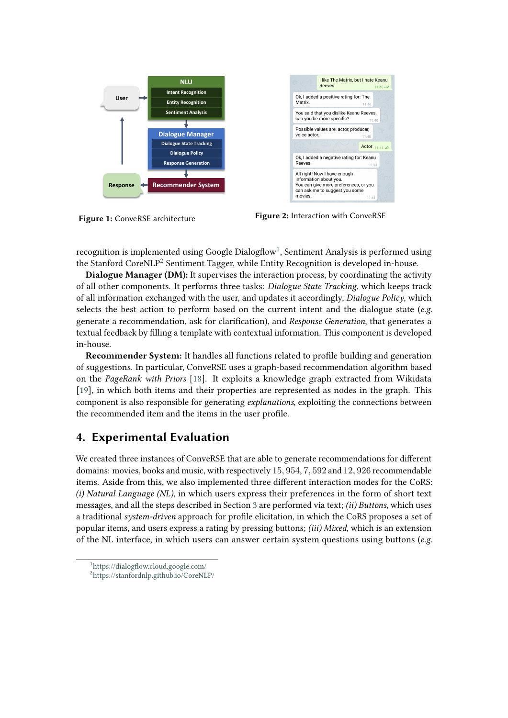

<span id="page-2-0"></span>

<span id="page-2-1"></span>**Figure 1:** ConveRSE architecture **Figure 2:** Interaction with ConveRSE

recognition is implemented using Google Dialogflow<sup>[1](#page-2-2)</sup>, Sentiment Analysis is performed using the Stanford CoreNLP<sup>[2](#page-2-3)</sup> Sentiment Tagger, while Entity Recognition is developed in-house.

**Dialogue Manager (DM):** It supervises the interaction process, by coordinating the activity of all other components. It performs three tasks: *Dialogue State Tracking*, which keeps track of all information exchanged with the user, and updates it accordingly, *Dialogue Policy*, which selects the best action to perform based on the current intent and the dialogue state (*e.g.* generate a recommendation, ask for clarification), and *Response Generation*, that generates a textual feedback by filling a template with contextual information. This component is developed in-house.

**Recommender System:** It handles all functions related to profile building and generation of suggestions. In particular, ConveRSE uses a graph-based recommendation algorithm based on the *PageRank with Priors* [\[18\]](#page-5-2). It exploits a knowledge graph extracted from Wikidata [\[19\]](#page-5-3), in which both items and their properties are represented as nodes in the graph. This component is also responsible for generating *explanations*, exploiting the connections between the recommended item and the items in the user profile.

## **4. Experimental Evaluation**

We created three instances of ConveRSE that are able to generate recommendations for different domains: movies, books and music, with respectively 15, 954, 7, 592 and 12, 926 recommendable items. Aside from this, we also implemented three different interaction modes for the CoRS: *(i) Natural Language (NL)*, in which users express their preferences in the form of short text messages, and all the steps described in Section [3](#page-1-0) are performed via text; *(ii) Buttons*, which uses a traditional *system-driven* approach for profile elicitation, in which the CoRS proposes a set of popular items, and users express a rating by pressing buttons; *(iii) Mixed*, which is an extension of the NL interface, in which users can answer certain system questions using buttons (*e.g.*

<span id="page-2-3"></span><span id="page-2-2"></span><sup>1</sup> <https://dialogflow.cloud.google.com/> 2 <https://stanfordnlp.github.io/CoreNLP/>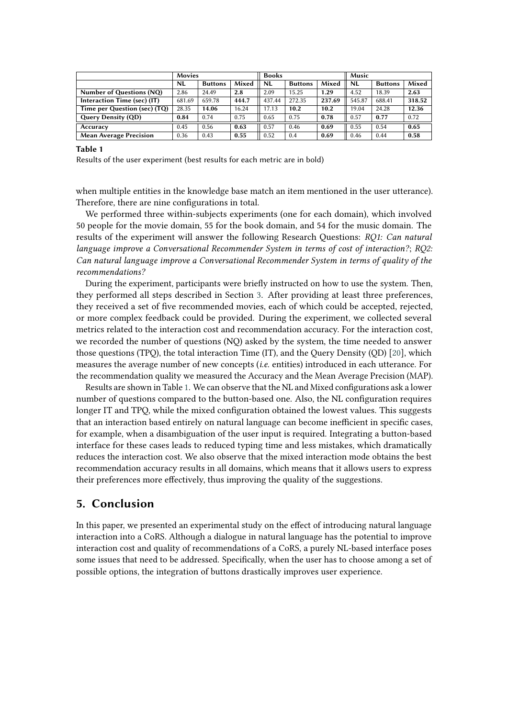|                               | <b>Movies</b> |                |       | <b>Books</b> |                |        | Music     |                |        |
|-------------------------------|---------------|----------------|-------|--------------|----------------|--------|-----------|----------------|--------|
|                               | <b>NL</b>     | <b>Buttons</b> | Mixed | <b>NL</b>    | <b>Buttons</b> | Mixed  | <b>NL</b> | <b>Buttons</b> | Mixed  |
| Number of Questions (NQ)      | 2.86          | 24.49          | 2.8   | 2.09         | 15.25          | 1.29   | 4.52      | 18.39          | 2.63   |
| Interaction Time (sec) (IT)   | 681.69        | 659.78         | 444.7 | 437.44       | 272.35         | 237.69 | 545.87    | 688.41         | 318.52 |
| Time per Question (sec) (TQ)  | 28.35         | 14.06          | 16.24 | 17.13        | 10.2           | 10.2   | 19.04     | 24.28          | 12.36  |
| <b>Query Density (QD)</b>     | 0.84          | 0.74           | 0.75  | 0.65         | 0.75           | 0.78   | 0.57      | 0.77           | 0.72   |
| Accuracy                      | 0.45          | 0.56           | 0.63  | 0.57         | 0.46           | 0.69   | 0.55      | 0.54           | 0.65   |
| <b>Mean Average Precision</b> | 0.36          | 0.43           | 0.55  | 0.52         | 0.4            | 0.69   | 0.46      | 0.44           | 0.58   |

**Table 1**

<span id="page-3-0"></span>Results of the user experiment (best results for each metric are in bold)

when multiple entities in the knowledge base match an item mentioned in the user utterance). Therefore, there are nine configurations in total.

We performed three within-subjects experiments (one for each domain), which involved 50 people for the movie domain, 55 for the book domain, and 54 for the music domain. The results of the experiment will answer the following Research Questions: *RQ1: Can natural language improve a Conversational Recommender System in terms of cost of interaction?*; *RQ2: Can natural language improve a Conversational Recommender System in terms of quality of the recommendations?*

During the experiment, participants were briefly instructed on how to use the system. Then, they performed all steps described in Section [3.](#page-1-0) After providing at least three preferences, they received a set of five recommended movies, each of which could be accepted, rejected, or more complex feedback could be provided. During the experiment, we collected several metrics related to the interaction cost and recommendation accuracy. For the interaction cost, we recorded the number of questions (NQ) asked by the system, the time needed to answer those questions (TPQ), the total interaction Time (IT), and the Query Density (QD) [\[20\]](#page-5-4), which measures the average number of new concepts (*i.e.* entities) introduced in each utterance. For the recommendation quality we measured the Accuracy and the Mean Average Precision (MAP).

Results are shown in Table [1.](#page-3-0) We can observe that the NL and Mixed configurations ask a lower number of questions compared to the button-based one. Also, the NL configuration requires longer IT and TPQ, while the mixed configuration obtained the lowest values. This suggests that an interaction based entirely on natural language can become inefficient in specific cases, for example, when a disambiguation of the user input is required. Integrating a button-based interface for these cases leads to reduced typing time and less mistakes, which dramatically reduces the interaction cost. We also observe that the mixed interaction mode obtains the best recommendation accuracy results in all domains, which means that it allows users to express their preferences more effectively, thus improving the quality of the suggestions.

#### **5. Conclusion**

In this paper, we presented an experimental study on the effect of introducing natural language interaction into a CoRS. Although a dialogue in natural language has the potential to improve interaction cost and quality of recommendations of a CoRS, a purely NL-based interface poses some issues that need to be addressed. Specifically, when the user has to choose among a set of possible options, the integration of buttons drastically improves user experience.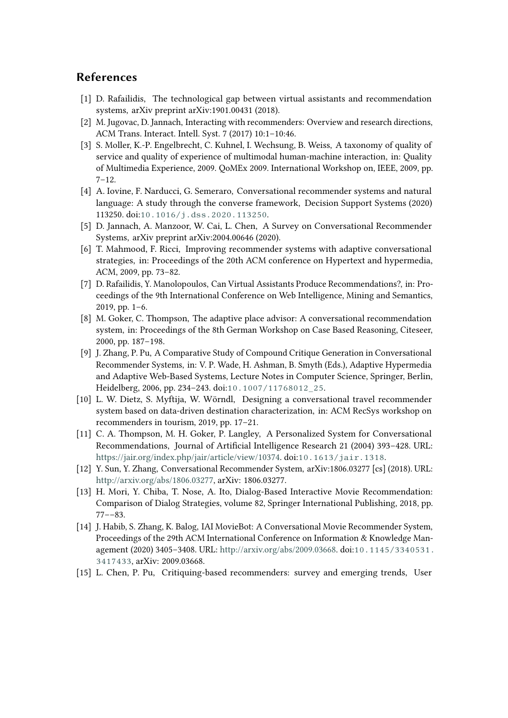### **References**

- [1] D. Rafailidis, The technological gap between virtual assistants and recommendation systems, arXiv preprint arXiv:1901.00431 (2018).
- [2] M. Jugovac, D. Jannach, Interacting with recommenders: Overview and research directions, ACM Trans. Interact. Intell. Syst. 7 (2017) 10:1–10:46.
- [3] S. Moller, K.-P. Engelbrecht, C. Kuhnel, I. Wechsung, B. Weiss, A taxonomy of quality of service and quality of experience of multimodal human-machine interaction, in: Quality of Multimedia Experience, 2009. QoMEx 2009. International Workshop on, IEEE, 2009, pp.  $7 - 12.$
- <span id="page-4-0"></span>[4] A. Iovine, F. Narducci, G. Semeraro, Conversational recommender systems and natural language: A study through the converse framework, Decision Support Systems (2020) 113250. doi:[10.1016/j.dss.2020.113250](http://dx.doi.org/10.1016/j.dss.2020.113250).
- <span id="page-4-1"></span>[5] D. Jannach, A. Manzoor, W. Cai, L. Chen, A Survey on Conversational Recommender Systems, arXiv preprint arXiv:2004.00646 (2020).
- <span id="page-4-2"></span>[6] T. Mahmood, F. Ricci, Improving recommender systems with adaptive conversational strategies, in: Proceedings of the 20th ACM conference on Hypertext and hypermedia, ACM, 2009, pp. 73–82.
- <span id="page-4-3"></span>[7] D. Rafailidis, Y. Manolopoulos, Can Virtual Assistants Produce Recommendations?, in: Proceedings of the 9th International Conference on Web Intelligence, Mining and Semantics, 2019, pp. 1–6.
- <span id="page-4-4"></span>[8] M. Goker, C. Thompson, The adaptive place advisor: A conversational recommendation system, in: Proceedings of the 8th German Workshop on Case Based Reasoning, Citeseer, 2000, pp. 187–198.
- <span id="page-4-5"></span>[9] J. Zhang, P. Pu, A Comparative Study of Compound Critique Generation in Conversational Recommender Systems, in: V. P. Wade, H. Ashman, B. Smyth (Eds.), Adaptive Hypermedia and Adaptive Web-Based Systems, Lecture Notes in Computer Science, Springer, Berlin, Heidelberg, 2006, pp. 234–243. doi:[10.1007/11768012\\_25](http://dx.doi.org/10.1007/11768012_25).
- <span id="page-4-6"></span>[10] L. W. Dietz, S. Myftija, W. Wörndl, Designing a conversational travel recommender system based on data-driven destination characterization, in: ACM RecSys workshop on recommenders in tourism, 2019, pp. 17–21.
- <span id="page-4-7"></span>[11] C. A. Thompson, M. H. Goker, P. Langley, A Personalized System for Conversational Recommendations, Journal of Artificial Intelligence Research 21 (2004) 393–428. URL: [https://jair.org/index.php/jair/article/view/10374.](https://jair.org/index.php/jair/article/view/10374) doi:[10.1613/jair.1318](http://dx.doi.org/10.1613/jair.1318).
- <span id="page-4-8"></span>[12] Y. Sun, Y. Zhang, Conversational Recommender System, arXiv:1806.03277 [cs] (2018). URL: [http://arxiv.org/abs/1806.03277,](http://arxiv.org/abs/1806.03277) arXiv: 1806.03277.
- <span id="page-4-9"></span>[13] H. Mori, Y. Chiba, T. Nose, A. Ito, Dialog-Based Interactive Movie Recommendation: Comparison of Dialog Strategies, volume 82, Springer International Publishing, 2018, pp. 77––83.
- <span id="page-4-10"></span>[14] J. Habib, S. Zhang, K. Balog, IAI MovieBot: A Conversational Movie Recommender System, Proceedings of the 29th ACM International Conference on Information & Knowledge Management (2020) 3405–3408. URL: [http://arxiv.org/abs/2009.03668.](http://arxiv.org/abs/2009.03668) doi:[10.1145/3340531.](http://dx.doi.org/10.1145/3340531.3417433) [3417433](http://dx.doi.org/10.1145/3340531.3417433), arXiv: 2009.03668.
- <span id="page-4-11"></span>[15] L. Chen, P. Pu, Critiquing-based recommenders: survey and emerging trends, User